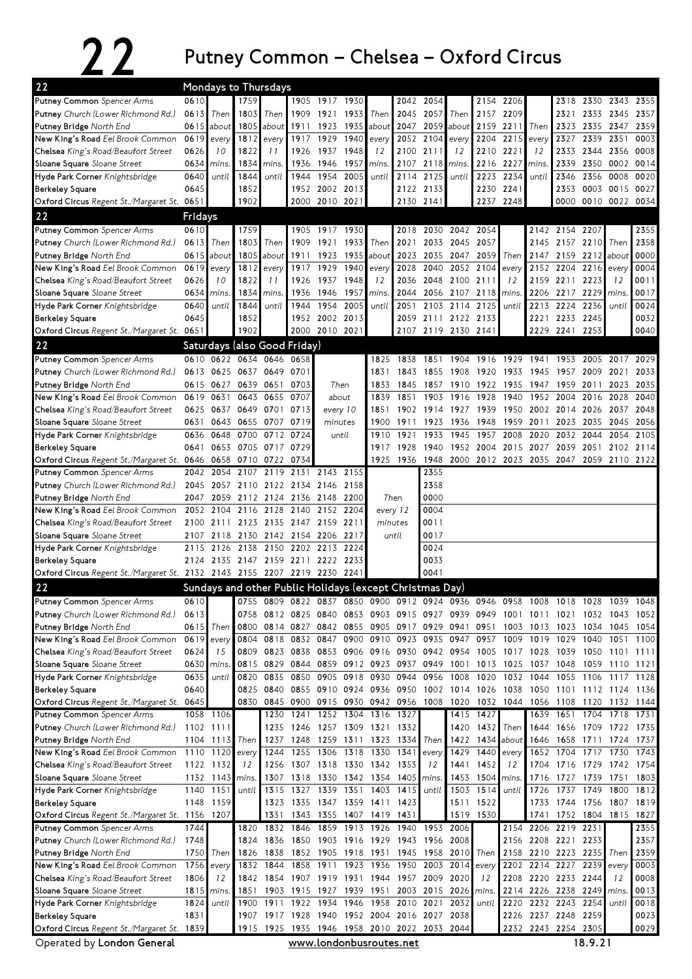## 22 Putney Common – Chelsea – Oxford Circus

| 22                                                                                                 | Mondays to Thursdays |                |                     |                                                          |                |                     |              |                               |                |              |                                                           |                    |                                                                            |           |                             |           |                     |           |
|----------------------------------------------------------------------------------------------------|----------------------|----------------|---------------------|----------------------------------------------------------|----------------|---------------------|--------------|-------------------------------|----------------|--------------|-----------------------------------------------------------|--------------------|----------------------------------------------------------------------------|-----------|-----------------------------|-----------|---------------------|-----------|
| Putney Common Spencer Arms                                                                         | 0610                 |                | 1759                |                                                          |                | 1905 1917 1930      |              |                               |                | 2042 2054    |                                                           |                    | 2154 2206                                                                  |           |                             | 2318 2330 | 2343                | 2355      |
| <b>Putney</b> Church (Lower Richmond Rd.)                                                          | 0613                 | Then           | 1803                | Then                                                     |                | 1909 1921           | 1933         | Then                          | 2045           | 2057         | Then                                                      |                    | 2157 2209                                                                  |           | 2321                        | 2333      | 2345                | 2357      |
| <b>Putney Bridge</b> North End                                                                     |                      | $0615$ about   |                     | 1805 about                                               | 1911           | 1923                | 1935         | about                         | 2047           | 2059         | about                                                     | 2159               | 2211                                                                       | Then      | 2323                        | 2335      | 2347                | 2359      |
| <b>New King's Road</b> Eel Brook Common                                                            | 0619                 | every          |                     | $1812$ every                                             | 1917           | 1929                | 1940         | every                         | 2052           | 2104         | every                                                     | 2204               | 2215                                                                       | every     | 2327                        | 2339      | 2351                | 0003      |
| Chelsea King's Road/Beaufort Street                                                                | 0626                 | 10             | 1822                | 11                                                       | 1926           | 1937                | 1948         | 12                            | 2100           | 2111         | 12                                                        | 2210               | 2221                                                                       | 12        | 2333                        | 2344      | 2356                | 0008      |
| Sloane Square Sloane Street                                                                        | 0634                 | mins.          | 1834                | mins.                                                    | 1936           | 1946                | 1957         | mins.                         | 2107           | 2118         | mins.                                                     | 2216               | 2227                                                                       | mins.     | 2339                        | 2350      |                     | 0002 0014 |
| Hyde Park Corner Knightsbridge                                                                     | 0640                 | until          | 1844                | until                                                    | 1944           | 1954                | 2005         | until                         | 2114           | 2125         | until                                                     | 2223               | 2234                                                                       | until     | 2346                        | 2356      | 0008                | 0020      |
| <b>Berkeley Square</b>                                                                             | 0645                 |                | 1852                |                                                          |                | 1952 2002 2013      |              |                               |                | 2122 2133    |                                                           | 2230               | 2241                                                                       |           | 2353                        | 0003      | 0015                | 0027      |
| Oxford Circus Regent St./Margaret St. 0651                                                         |                      |                | 1902                |                                                          |                | 2000 2010 2021      |              |                               |                | 2130 2141    |                                                           |                    | 2237 2248                                                                  |           |                             |           | 0000 0010 0022 0034 |           |
| 22                                                                                                 | Fridays              |                |                     |                                                          |                |                     |              |                               |                |              |                                                           |                    |                                                                            |           |                             |           |                     |           |
| Putney Common Spencer Arms                                                                         | 0610                 |                | 1759                |                                                          |                | 1905 1917 1930      |              |                               |                |              | 2018 2030 2042 2054                                       |                    |                                                                            |           | 2142 2154 2207              |           |                     | 2355      |
| <b>Putney</b> Church (Lower Richmond Rd.)                                                          | 0613                 | Then           | 1803                | Then                                                     | 1909           | 1921                | 1933         | Then                          | 2021           | 2033         | 2045                                                      | 2057               |                                                                            | 2145      | 2157 2210                   |           | Then                | 2358      |
| <b>Putney Bridge</b> North End                                                                     | 0615                 | about          | 1805                | about                                                    | 1911           | 1923                | 1935         | about                         | 2023           | 2035         | 2047                                                      | 2059               | Then                                                                       | 2147      |                             | 2159 2212 | about               | 0000      |
| New King's Road Eel Brook Common                                                                   | 0619                 | every          | 1812                | every                                                    | 1917           | 1929                | 1940         | every                         | 2028           | 2040         | 2052 2104                                                 |                    | every                                                                      | 2152      | 2204                        | 2216      | every               | 0004      |
| <b>Chelsea</b> King's Road/Beaufort Street                                                         | 0626                 | 10             | 1822                | 11                                                       | 1926           | 1937                | 1948         | 12                            | 2036           | 2048         | 2100 2111                                                 |                    | 12                                                                         | 2159      | 2211 2223                   |           | 12                  | 0011      |
| Sloane Square Sloane Street                                                                        | 0634                 | mins.          | 1834                | mins.                                                    | 1936           | 1946                | 1957         | mins.                         | 2044           |              | 2056 2107                                                 | 2118               | mins.                                                                      | 2206      | 2217 2229                   |           | mins.               | 0017      |
| Hyde Park Corner Knightsbridge                                                                     | 0640                 | until          | 1844                | until                                                    | 1944           | 1954                | 2005         | until                         | 2051           |              | 2103 2114                                                 | 2125               | until                                                                      | 2213      | 2224                        | 2236      | until               | 0024      |
| <b>Berkeley Square</b>                                                                             | 0645                 |                | 1852                |                                                          |                | 1952 2002 2013      |              |                               |                |              | 2059 2111 2122 2133                                       |                    |                                                                            |           | 2221 2233 2245              |           |                     | 0032      |
| Oxford Circus Regent St./Margaret St. 0651                                                         |                      |                | 1902                |                                                          |                | 2000 2010 2021      |              |                               | 2107           |              | 2119 2130 2141                                            |                    |                                                                            |           | 2229 2241 2253              |           |                     | 0040      |
|                                                                                                    |                      |                |                     |                                                          |                |                     |              |                               |                |              |                                                           |                    |                                                                            |           |                             |           |                     |           |
| 22                                                                                                 |                      |                |                     | Saturdays (also Good Friday)                             |                |                     |              |                               |                |              |                                                           |                    |                                                                            |           |                             |           |                     |           |
| Putney Common Spencer Arms                                                                         |                      |                | 0610 0622 0634 0646 |                                                          | 0658           |                     |              | 1825                          | 1838           | 1851         | 1904                                                      |                    | 1916 1929 1941                                                             |           |                             | 1953 2005 | 2017 2029           |           |
| Putney Church (Lower Richmond Rd.)                                                                 | 0613                 | 0625           | 0637 0649           |                                                          | 0701           |                     |              | 1831                          | 1843           | 1855         | 1908                                                      | 1920               | 1933                                                                       | 1945      | 1957                        | 2009      | 2021                | 2033      |
| <b>Putney Bridge</b> North End                                                                     |                      | 0615 0627      |                     | 0639 0651                                                | 0703           |                     | Then         | 1833                          | 1845           | 1857         | 1910                                                      | 1922               | 1935                                                                       | 1947      | 1959                        | 2011      | 2023                | 2035      |
| <b>New King's Road</b> Eel Brook Common                                                            | 0619                 | 0631           | 0643                | 0655                                                     | 0707           |                     | about        | 1839                          | 1851           | 1903         | 1916                                                      | 1928               | 1940                                                                       | 1952      | 2004                        | 2016      | 2028                | 2040      |
| <b>Chelsea</b> King's Road/Beaufort Street                                                         | 0625                 | 0637           | 0649                | 0701                                                     | 0713           | every 10            |              | 1851                          | 1902           | 1914         | 1927                                                      | 1939               | 1950                                                                       | 2002      | 2014                        | 2026      | 2037                | 2048      |
| Sloane Square Sloane Street                                                                        | 0631                 | 0643           |                     | 0655 0707                                                | 0719           | minutes             |              | 1900                          | 1911           | 1923         | 1936                                                      | 1948               | 1959                                                                       | 2011      | 2023                        | 2035      | 2045 2056           |           |
| Hyde Park Corner Knightsbridge                                                                     | 0636                 | 0648           | 0700                | 0712                                                     | 0724           |                     | until        | 1910                          | 1921           | 1933         | 1945                                                      | 1957               | 2008                                                                       | 2020      | 2032                        | 2044      | 2054                | 2105      |
| <b>Berkeley Square</b>                                                                             | 0641                 |                | 0653 0705 0717      |                                                          | 0729           |                     |              | 1917                          | 1928           | 1940         | 1952                                                      | 2004               | 2015                                                                       | 2027      | 2039                        | 2051      | 2102                | 2114      |
| Oxford Circus Regent St./Margaret St. 0646                                                         |                      | 0658<br>2054   |                     | 0710 0722                                                | 0734           | 2143                | 2155         |                               | 1925 1936      | 1948<br>2355 | 2000                                                      | 2012 2023          |                                                                            | 2035      | 2047                        | 2059      | 2110 2122           |           |
| <b>Putney Common</b> Spencer Arms                                                                  | 2042                 |                | 2107                | 2119                                                     | 2131           |                     |              |                               |                | 2358         |                                                           |                    |                                                                            |           |                             |           |                     |           |
| <b>Putney</b> Church (Lower Richmond Rd.)                                                          |                      |                |                     | 2045 2057 2110 2122 2134 2146                            |                |                     | 2158         |                               |                |              |                                                           |                    |                                                                            |           |                             |           |                     |           |
| <b>Putney Bridge</b> North End                                                                     | 2047                 | 2059           |                     | 2112 2124                                                |                | 2136 2148           | 2200         |                               | Then           | 0000<br>0004 |                                                           |                    |                                                                            |           |                             |           |                     |           |
| New King's Road Eel Brook Common                                                                   | 2052                 | 2104           | 2116                | 2128                                                     | 2140           | 2152                | 2204         |                               | every 12       | 0011         |                                                           |                    |                                                                            |           |                             |           |                     |           |
| Chelsea King's Road/Beaufort Street                                                                | 2100                 | 2111           | 2123                | 2135                                                     | 2147           | 2159                | 2211         |                               | minutes        | 0017         |                                                           |                    |                                                                            |           |                             |           |                     |           |
| Sloane Square Sloane Street                                                                        | 2107                 | 2118           | 2130<br>2138        | 2142<br>2150 2202 2213                                   | 2154 2206      |                     | 2217<br>2224 |                               | until          | 0024         |                                                           |                    |                                                                            |           |                             |           |                     |           |
| Hyde Park Corner Knightsbridge                                                                     | 2115                 | 2126           |                     | 2124 2135 2147 2159 2211 2222 2233                       |                |                     |              |                               |                | 0033         |                                                           |                    |                                                                            |           |                             |           |                     |           |
| <b>Berkeley Square</b><br>Oxford Circus Regent St./Margaret St. 2132 2143 2155 2207 2219 2230 2241 |                      |                |                     |                                                          |                |                     |              |                               |                | 0041         |                                                           |                    |                                                                            |           |                             |           |                     |           |
|                                                                                                    |                      |                |                     |                                                          |                |                     |              |                               |                |              |                                                           |                    |                                                                            |           |                             |           |                     |           |
| 22                                                                                                 |                      |                |                     | Sundays and other Public Holidays (except Christmas Day) |                |                     |              |                               |                |              |                                                           |                    |                                                                            |           |                             |           |                     |           |
| <b>Putney Common</b> Spencer Arms                                                                  | 0610                 |                | 0755                | 0809                                                     | 0822           | 0837                | 0850         | 0900 0912                     |                |              | 0924 0936 0946                                            |                    | 0958                                                                       | 1008      | 1018                        | 1028      | 1039                | 1048      |
| Putney Church (Lower Richmond Rd.)                                                                 | 0613                 |                |                     |                                                          |                |                     |              |                               |                |              |                                                           |                    | 0758 0812 0825 0840 0853 0903 0915 0927 0939 0949 1001 1011 1021 1032 1043 |           |                             |           |                     | 1052      |
| Putney Bridge North End                                                                            | 0615                 | Then           | 0800<br>0804        |                                                          |                |                     |              |                               | 0910 0923      |              | 0814 0827 0842 0855 0905 0917 0929 0941 0951<br>0935 0947 |                    |                                                                            | 1003 1013 | 1023 1034                   |           | 1045                | 1054      |
| <b>New King's Road</b> Eel Brook Common                                                            | 0619                 | every<br>15    |                     | 0818                                                     |                | 0832 0847           | 0900         | 0823 0838 0853 0906 0916 0930 |                |              |                                                           | 0957               | 1009<br>0942 0954 1005 1017 1028                                           | 1019      | 1029<br>1039 1050 1101 1111 | 1040      | 1051                | 1100      |
| Chelsea King's Road/Beaufort Street<br>Sloane Square Sloane Street                                 | 0624                 |                | 0809<br>0815        | 0829                                                     |                | 0844 0859 0912      |              | 0923 0937                     |                |              |                                                           |                    | 0949 1001 1013 1025 1037                                                   |           | 1048                        | 1059      |                     |           |
| Hyde Park Corner Knightsbridge                                                                     | 0630<br>0635         | mins.<br>until | 0820                | 0835                                                     |                |                     |              | 0850 0905 0918 0930 0944      |                |              | 0956 1008                                                 | 1020               |                                                                            | 1032 1044 | 1055 1106                   |           | 1110 1121<br>1117   | 1128      |
| <b>Berkeley Square</b>                                                                             | 0640                 |                | 0825                | 0840 0855 0910 0924 0936 0950                            |                |                     |              |                               |                |              |                                                           |                    | 1002 1014 1026 1038 1050 1101 1112 1124 1136                               |           |                             |           |                     |           |
| Oxford Circus Regent St./Margaret St. 0645                                                         |                      |                | 0830                | 0845                                                     |                |                     |              | 0900 0915 0930 0942 0956      |                | 1008         | 1020                                                      |                    | 1032 1044 1056                                                             |           | 1108 1120                   |           | 1132 1144           |           |
| Putney Common Spencer Arms                                                                         |                      | 1058 1106      |                     | 1230                                                     |                |                     |              | 1241 1252 1304 1316 1327      |                |              |                                                           | $1415$ 1427        |                                                                            | 1639      |                             |           | 1651 1704 1718 1731 |           |
| Putney Church (Lower Richmond Rd.)                                                                 |                      | 1102 1111      |                     | 1235                                                     |                |                     |              | 1246 1257 1309 1321 1332      |                |              | 1420                                                      | 1 <b>4</b> 32 Then |                                                                            | 1644      |                             |           | 1656 1709 1722 1735 |           |
| Putney Bridge North End                                                                            |                      | 1104 1113      | Then                | 1237                                                     |                | 1248 1259 1311      |              |                               | 1323 1334      | Then         |                                                           |                    | 1422 1434 about                                                            | 1646      |                             | 1658 1711 | 1724                | 1737      |
| <b>New King's Road</b> Eel Brook Common                                                            |                      | 1110 1120      | every               | 1244                                                     | 1255           | 1306                | 1318         |                               | 1330 1341      | every        | 1429                                                      | 1440               | every                                                                      | 1652      | 1704                        | 1717      | 1730                | 1743      |
| Chelsea King's Road/Beaufort Street                                                                |                      | 1122 1132      | 12                  | 1256                                                     |                | 1307 1318 1330      |              | 1342 1353                     |                | 12           | 1441                                                      | 1452               | 12                                                                         | 1704      |                             | 1716 1729 |                     | 1742 1754 |
| Sloane Square Sloane Street                                                                        |                      | 1132 1143      | mins.               | 1307                                                     |                |                     |              | 1318 1330 1342 1354 1405      |                | mins.        |                                                           | 1453 1504          | mins.                                                                      | 1716      | 1727 1739                   |           | 1751                | 1803      |
| Hyde Park Corner Knightsbridge                                                                     |                      | 1140 1151      | until               | 1315                                                     |                | 1327 1339 1351      |              |                               | 1403 1415      | until        |                                                           | 1503 1514          | until                                                                      | 1726      |                             | 1737 1749 | 1800                | 1812      |
| Berkeley Square                                                                                    |                      | 1148 1159      |                     | 1323                                                     |                |                     |              | 1335 1347 1359 1411 1423      |                |              |                                                           | 1511 1522          |                                                                            | 1733      | 1744 1756                   |           | 1807 1819           |           |
| Oxford Circus Regent St./Margaret St. 1156 1207                                                    |                      |                |                     | 1331                                                     |                |                     |              | 1343 1355 1407 1419 1431      |                |              |                                                           | 1519 1530          |                                                                            | 1741      | 1752 1804 1815 1827         |           |                     |           |
| Putney Common Spencer Arms                                                                         | 1744                 |                | 1820                | 1832                                                     | 1846           | 1859                | 1913 1926    |                               | 1940           |              | 1953 2006                                                 |                    |                                                                            |           | 2154 2206 2219 2231         |           |                     | 2355      |
| Putney Church (Lower Richmond Rd.)                                                                 | 1748                 |                | 1824                | 1836                                                     |                |                     |              | 1850 1903 1916 1929 1943      |                | 1956 2008    |                                                           |                    |                                                                            |           | 2156 2208 2221 2233         |           |                     | 2357      |
| Putney Bridge North End                                                                            | 1750                 | Then           | 1826                | 1838                                                     |                | 1852 1905 1918 1931 |              |                               | 1945           |              | 1958 2010 Then                                            |                    |                                                                            |           | 2158 2210 2223 2235 Then    |           |                     | 2359      |
| New King's Road Eel Brook Common                                                                   | 1756                 | every          | 1832                | 1844                                                     |                | 1858 1911           | 1923         | 1936 1950                     |                |              | 2003 2014 every                                           |                    |                                                                            |           | 2202 2214 2227 2239 every   |           |                     | 0003      |
| Chelsea King's Road/Beaufort Street                                                                | 1806                 | 12             |                     | 1842 1854                                                | 1907 1919      |                     | 1931         | 1944 1957 2009 2020           |                |              |                                                           | 12                 |                                                                            |           | 2208 2220 2233 2244         |           | 12                  | 0008      |
| Sloane Square Sloane Street                                                                        | 1815                 | mins.          | 1851                |                                                          | 1903 1915 1927 |                     | 1939         | 1951                          |                |              | 2003 2015 2026 mins.                                      |                    |                                                                            |           | 2214 2226 2238 2249 mins.   |           |                     | 0013      |
| Hyde Park Corner Knightsbridge                                                                     | 1824                 | until          | 1900                |                                                          |                | 1911 1922 1934 1946 |              |                               | 1958 2010 2021 |              | 2032                                                      | until              | 2220                                                                       |           | 2232 2243 2254              |           | until               | 0018      |
| Berkeley Square                                                                                    | 1831                 |                |                     | 1907 1917 1928 1940 1952 2004 2016 2027 2038             |                |                     |              |                               |                |              |                                                           |                    |                                                                            |           | 2226 2237 2248 2259         |           |                     | 0023      |
| Oxford Circus Regent St./Margaret St. 1839                                                         |                      |                |                     | 1915 1925 1935 1946 1958 2010 2022 2033 2044             |                |                     |              |                               |                |              |                                                           |                    |                                                                            |           | 2232 2243 2254 2305         |           |                     | 0029      |

Operated by London General **WWW.Londonbusroutes.net** 18.9.21